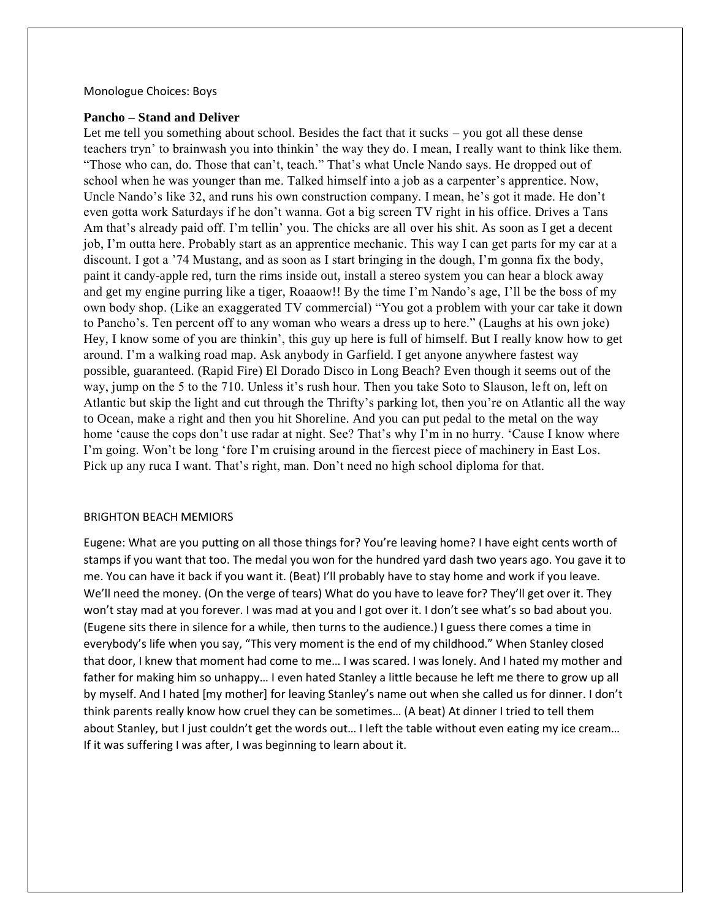## Monologue Choices: Boys

## **Pancho – Stand and Deliver**

Let me tell you something about school. Besides the fact that it sucks – you got all these dense teachers tryn' to brainwash you into thinkin' the way they do. I mean, I really want to think like them. "Those who can, do. Those that can't, teach." That's what Uncle Nando says. He dropped out of school when he was younger than me. Talked himself into a job as a carpenter's apprentice. Now, Uncle Nando's like 32, and runs his own construction company. I mean, he's got it made. He don't even gotta work Saturdays if he don't wanna. Got a big screen TV right in his office. Drives a Tans Am that's already paid off. I'm tellin' you. The chicks are all over his shit. As soon as I get a decent job, I'm outta here. Probably start as an apprentice mechanic. This way I can get parts for my car at a discount. I got a '74 Mustang, and as soon as I start bringing in the dough, I'm gonna fix the body, paint it candy-apple red, turn the rims inside out, install a stereo system you can hear a block away and get my engine purring like a tiger, Roaaow!! By the time I'm Nando's age, I'll be the boss of my own body shop. (Like an exaggerated TV commercial) "You got a problem with your car take it down to Pancho's. Ten percent off to any woman who wears a dress up to here." (Laughs at his own joke) Hey, I know some of you are thinkin', this guy up here is full of himself. But I really know how to get around. I'm a walking road map. Ask anybody in Garfield. I get anyone anywhere fastest way possible, guaranteed. (Rapid Fire) El Dorado Disco in Long Beach? Even though it seems out of the way, jump on the 5 to the 710. Unless it's rush hour. Then you take Soto to Slauson, left on, left on Atlantic but skip the light and cut through the Thrifty's parking lot, then you're on Atlantic all the way to Ocean, make a right and then you hit Shoreline. And you can put pedal to the metal on the way home 'cause the cops don't use radar at night. See? That's why I'm in no hurry. 'Cause I know where I'm going. Won't be long 'fore I'm cruising around in the fiercest piece of machinery in East Los. Pick up any ruca I want. That's right, man. Don't need no high school diploma for that.

## BRIGHTON BEACH MEMIORS

Eugene: What are you putting on all those things for? You're leaving home? I have eight cents worth of stamps if you want that too. The medal you won for the hundred yard dash two years ago. You gave it to me. You can have it back if you want it. (Beat) I'll probably have to stay home and work if you leave. We'll need the money. (On the verge of tears) What do you have to leave for? They'll get over it. They won't stay mad at you forever. I was mad at you and I got over it. I don't see what's so bad about you. (Eugene sits there in silence for a while, then turns to the audience.) I guess there comes a time in everybody's life when you say, "This very moment is the end of my childhood." When Stanley closed that door, I knew that moment had come to me… I was scared. I was lonely. And I hated my mother and father for making him so unhappy… I even hated Stanley a little because he left me there to grow up all by myself. And I hated [my mother] for leaving Stanley's name out when she called us for dinner. I don't think parents really know how cruel they can be sometimes… (A beat) At dinner I tried to tell them about Stanley, but I just couldn't get the words out... I left the table without even eating my ice cream... If it was suffering I was after, I was beginning to learn about it.